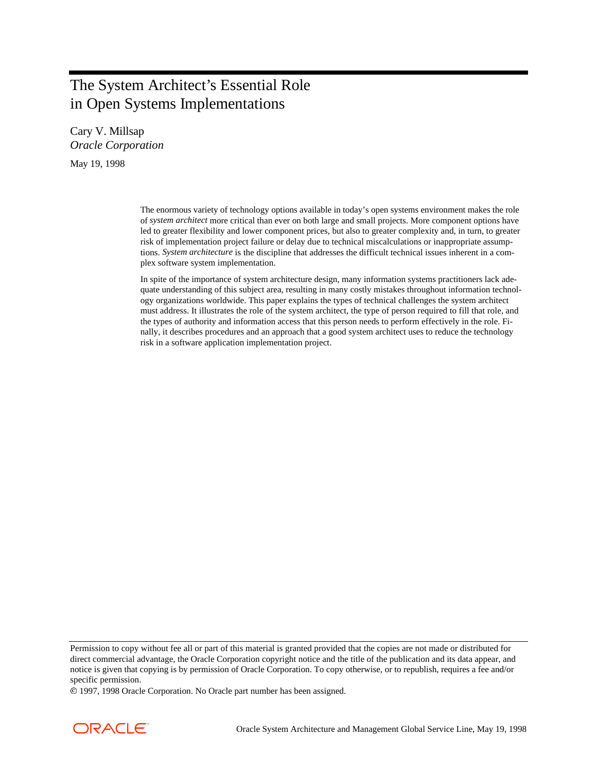# The System Architect's Essential Role in Open Systems Implementations

Cary V. Millsap *Oracle Corporation* May 19, 1998

> The enormous variety of technology options available in today's open systems environment makes the role of *system architect* more critical than ever on both large and small projects. More component options have led to greater flexibility and lower component prices, but also to greater complexity and, in turn, to greater risk of implementation project failure or delay due to technical miscalculations or inappropriate assumptions. *System architecture* is the discipline that addresses the difficult technical issues inherent in a complex software system implementation.

> In spite of the importance of system architecture design, many information systems practitioners lack adequate understanding of this subject area, resulting in many costly mistakes throughout information technology organizations worldwide. This paper explains the types of technical challenges the system architect must address. It illustrates the role of the system architect, the type of person required to fill that role, and the types of authority and information access that this person needs to perform effectively in the role. Finally, it describes procedures and an approach that a good system architect uses to reduce the technology risk in a software application implementation project.

1997, 1998 Oracle Corporation. No Oracle part number has been assigned.



Permission to copy without fee all or part of this material is granted provided that the copies are not made or distributed for direct commercial advantage, the Oracle Corporation copyright notice and the title of the publication and its data appear, and notice is given that copying is by permission of Oracle Corporation. To copy otherwise, or to republish, requires a fee and/or specific permission.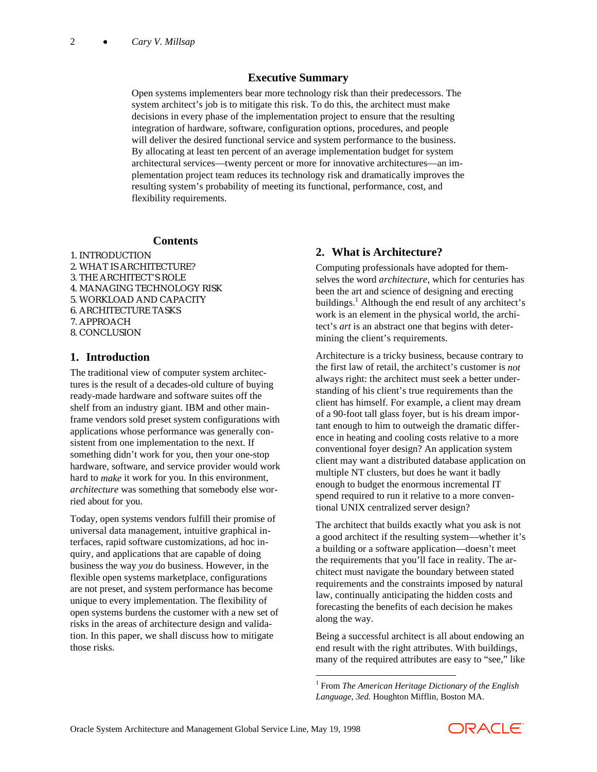### **Executive Summary**

Open systems implementers bear more technology risk than their predecessors. The system architect's job is to mitigate this risk. To do this, the architect must make decisions in every phase of the implementation project to ensure that the resulting integration of hardware, software, configuration options, procedures, and people will deliver the desired functional service and system performance to the business. By allocating at least ten percent of an average implementation budget for system architectural services—twenty percent or more for innovative architectures—an implementation project team reduces its technology risk and dramatically improves the resulting system's probability of meeting its functional, performance, cost, and flexibility requirements.

#### **Contents**

1. INTRODUCTION 2. WHAT IS ARCHITECTURE? 3. THE ARCHITECT'S ROLE 4. MANAGING TECHNOLOGY RISK 5. WORKLOAD AND CAPACITY 6. ARCHITECTURE TASKS 7. APPROACH 8. CONCLUSION

#### **1. Introduction**

The traditional view of computer system architectures is the result of a decades-old culture of buying ready-made hardware and software suites off the shelf from an industry giant. IBM and other mainframe vendors sold preset system configurations with applications whose performance was generally consistent from one implementation to the next. If something didn't work for you, then your one-stop hardware, software, and service provider would work hard to *make* it work for you. In this environment, *architecture* was something that somebody else worried about for you.

Today, open systems vendors fulfill their promise of universal data management, intuitive graphical interfaces, rapid software customizations, ad hoc inquiry, and applications that are capable of doing business the way *you* do business. However, in the flexible open systems marketplace, configurations are not preset, and system performance has become unique to every implementation. The flexibility of open systems burdens the customer with a new set of risks in the areas of architecture design and validation. In this paper, we shall discuss how to mitigate those risks.

### **2. What is Architecture?**

Computing professionals have adopted for themselves the word *architecture*, which for centuries has been the art and science of designing and erecting buildings.<sup>1</sup> Although the end result of any architect's work is an element in the physical world, the architect's *art* is an abstract one that begins with determining the client's requirements.

Architecture is a tricky business, because contrary to the first law of retail, the architect's customer is *not* always right: the architect must seek a better understanding of his client's true requirements than the client has himself. For example, a client may dream of a 90-foot tall glass foyer, but is his dream important enough to him to outweigh the dramatic difference in heating and cooling costs relative to a more conventional foyer design? An application system client may want a distributed database application on multiple NT clusters, but does he want it badly enough to budget the enormous incremental IT spend required to run it relative to a more conventional UNIX centralized server design?

The architect that builds exactly what you ask is not a good architect if the resulting system—whether it's a building or a software application—doesn't meet the requirements that you'll face in reality. The architect must navigate the boundary between stated requirements and the constraints imposed by natural law, continually anticipating the hidden costs and forecasting the benefits of each decision he makes along the way.

Being a successful architect is all about endowing an end result with the right attributes. With buildings, many of the required attributes are easy to "see," like

 $\overline{\phantom{a}}$ 



<sup>1</sup> From *The American Heritage Dictionary of the English Language, 3ed.* Houghton Mifflin, Boston MA.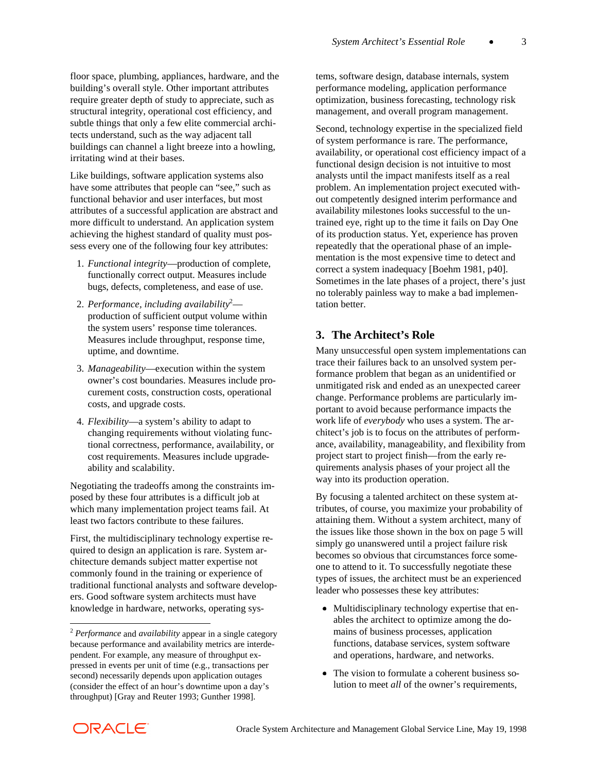floor space, plumbing, appliances, hardware, and the building's overall style. Other important attributes require greater depth of study to appreciate, such as structural integrity, operational cost efficiency, and subtle things that only a few elite commercial architects understand, such as the way adjacent tall buildings can channel a light breeze into a howling, irritating wind at their bases.

Like buildings, software application systems also have some attributes that people can "see," such as functional behavior and user interfaces, but most attributes of a successful application are abstract and more difficult to understand. An application system achieving the highest standard of quality must possess every one of the following four key attributes:

- 1. *Functional integrity*—production of complete, functionally correct output. Measures include bugs, defects, completeness, and ease of use.
- 2. Performance, including availability<sup>2</sup> production of sufficient output volume within the system users' response time tolerances. Measures include throughput, response time, uptime, and downtime.
- 3. *Manageability*—execution within the system owner's cost boundaries. Measures include procurement costs, construction costs, operational costs, and upgrade costs.
- 4. *Flexibility*—a system's ability to adapt to changing requirements without violating functional correctness, performance, availability, or cost requirements. Measures include upgradeability and scalability.

Negotiating the tradeoffs among the constraints imposed by these four attributes is a difficult job at which many implementation project teams fail. At least two factors contribute to these failures.

First, the multidisciplinary technology expertise required to design an application is rare. System architecture demands subject matter expertise not commonly found in the training or experience of traditional functional analysts and software developers. Good software system architects must have knowledge in hardware, networks, operating systems, software design, database internals, system performance modeling, application performance optimization, business forecasting, technology risk management, and overall program management.

Second, technology expertise in the specialized field of system performance is rare. The performance, availability, or operational cost efficiency impact of a functional design decision is not intuitive to most analysts until the impact manifests itself as a real problem. An implementation project executed without competently designed interim performance and availability milestones looks successful to the untrained eye, right up to the time it fails on Day One of its production status. Yet, experience has proven repeatedly that the operational phase of an implementation is the most expensive time to detect and correct a system inadequacy [Boehm 1981, p40]. Sometimes in the late phases of a project, there's just no tolerably painless way to make a bad implementation better.

### **3. The Architect's Role**

Many unsuccessful open system implementations can trace their failures back to an unsolved system performance problem that began as an unidentified or unmitigated risk and ended as an unexpected career change. Performance problems are particularly important to avoid because performance impacts the work life of *everybody* who uses a system. The architect's job is to focus on the attributes of performance, availability, manageability, and flexibility from project start to project finish—from the early requirements analysis phases of your project all the way into its production operation.

By focusing a talented architect on these system attributes, of course, you maximize your probability of attaining them. Without a system architect, many of the issues like those shown in the box on page 5 will simply go unanswered until a project failure risk becomes so obvious that circumstances force someone to attend to it. To successfully negotiate these types of issues, the architect must be an experienced leader who possesses these key attributes:

- Multidisciplinary technology expertise that enables the architect to optimize among the domains of business processes, application functions, database services, system software and operations, hardware, and networks.
- The vision to formulate a coherent business solution to meet *all* of the owner's requirements,

 $\overline{a}$ 

<sup>2</sup> *Performance* and *availability* appear in a single category because performance and availability metrics are interdependent. For example, any measure of throughput expressed in events per unit of time (e.g., transactions per second) necessarily depends upon application outages (consider the effect of an hour's downtime upon a day's throughput) [Gray and Reuter 1993; Gunther 1998].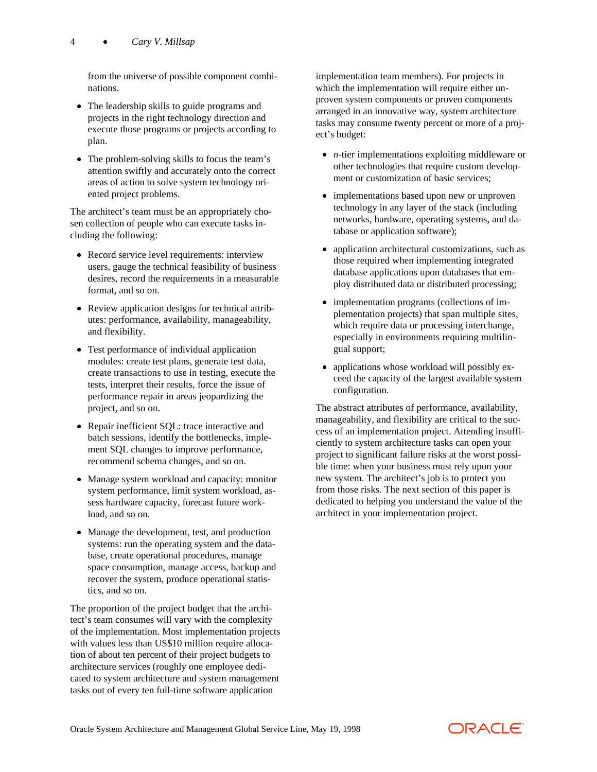from the universe of possible component combinations.

- The leadership skills to guide programs and projects in the right technology direction and execute those programs or projects according to plan.
- $\bullet$  The problem-solving skills to focus the team's attention swiftly and accurately onto the correct areas of action to solve system technology oriented project problems.

The architect's team must be an appropriately chosen collection of people who can execute tasks including the following:

- Record service level requirements: interview users, gauge the technical feasibility of business desires, record the requirements in a measurable format, and so on.
- Review application designs for technical attributes: performance, availability, manageability, and flexibility.
- Test performance of individual application modules: create test plans, generate test data, create transactions to use in testing, execute the tests, interpret their results, force the issue of performance repair in areas jeopardizing the project, and so on.
- Repair inefficient SQL: trace interactive and batch sessions, identify the bottlenecks, implement SQL changes to improve performance, recommend schema changes, and so on.
- Manage system workload and capacity: monitor system performance, limit system workload, assess hardware capacity, forecast future workload, and so on.
- Manage the development, test, and production systems: run the operating system and the database, create operational procedures, manage space consumption, manage access, backup and recover the system, produce operational statistics, and so on.

The proportion of the project budget that the architect's team consumes will vary with the complexity of the implementation. Most implementation projects with values less than US\$10 million require allocation of about ten percent of their project budgets to architecture services (roughly one employee dedicated to system architecture and system management tasks out of every ten full-time software application

implementation team members). For projects in which the implementation will require either unproven system components or proven components arranged in an innovative way, system architecture tasks may consume twenty percent or more of a project's budget:

- *n*-tier implementations exploiting middleware or other technologies that require custom development or customization of basic services;
- implementations based upon new or unproven technology in any layer of the stack (including networks, hardware, operating systems, and database or application software);
- application architectural customizations, such as those required when implementing integrated database applications upon databases that employ distributed data or distributed processing;
- implementation programs (collections of implementation projects) that span multiple sites, which require data or processing interchange, especially in environments requiring multilingual support;
- applications whose workload will possibly exceed the capacity of the largest available system configuration.

The abstract attributes of performance, availability, manageability, and flexibility are critical to the success of an implementation project. Attending insufficiently to system architecture tasks can open your project to significant failure risks at the worst possible time: when your business must rely upon your new system. The architect's job is to protect you from those risks. The next section of this paper is dedicated to helping you understand the value of the architect in your implementation project.

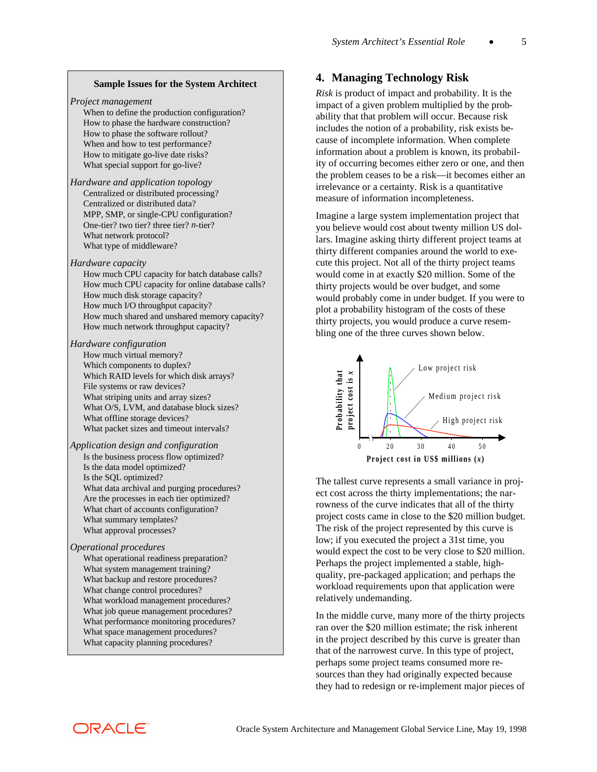#### **Sample Issues for the System Architect**

*Project management*

When to define the production configuration? How to phase the hardware construction? How to phase the software rollout? When and how to test performance? How to mitigate go-live date risks? What special support for go-live?

*Hardware and application topology* Centralized or distributed processing? Centralized or distributed data? MPP, SMP, or single-CPU configuration? One-tier? two tier? three tier? *n*-tier? What network protocol? What type of middleware?

*Hardware capacity*

How much CPU capacity for batch database calls? How much CPU capacity for online database calls? How much disk storage capacity? How much I/O throughput capacity? How much shared and unshared memory capacity? How much network throughput capacity?

#### *Hardware configuration*

How much virtual memory? Which components to duplex? Which RAID levels for which disk arrays? File systems or raw devices? What striping units and array sizes? What O/S, LVM, and database block sizes? What offline storage devices? What packet sizes and timeout intervals?

#### *Application design and configuration*

Is the business process flow optimized? Is the data model optimized? Is the SQL optimized? What data archival and purging procedures? Are the processes in each tier optimized? What chart of accounts configuration? What summary templates? What approval processes?

#### *Operational procedures*

What operational readiness preparation? What system management training? What backup and restore procedures? What change control procedures? What workload management procedures? What job queue management procedures? What performance monitoring procedures? What space management procedures? What capacity planning procedures?

### **4. Managing Technology Risk**

*Risk* is product of impact and probability. It is the impact of a given problem multiplied by the probability that that problem will occur. Because risk includes the notion of a probability, risk exists because of incomplete information. When complete information about a problem is known, its probability of occurring becomes either zero or one, and then the problem ceases to be a risk—it becomes either an irrelevance or a certainty. Risk is a quantitative measure of information incompleteness.

Imagine a large system implementation project that you believe would cost about twenty million US dollars. Imagine asking thirty different project teams at thirty different companies around the world to execute this project. Not all of the thirty project teams would come in at exactly \$20 million. Some of the thirty projects would be over budget, and some would probably come in under budget. If you were to plot a probability histogram of the costs of these thirty projects, you would produce a curve resembling one of the three curves shown below.



The tallest curve represents a small variance in project cost across the thirty implementations; the narrowness of the curve indicates that all of the thirty project costs came in close to the \$20 million budget. The risk of the project represented by this curve is low; if you executed the project a 31st time, you would expect the cost to be very close to \$20 million. Perhaps the project implemented a stable, highquality, pre-packaged application; and perhaps the workload requirements upon that application were relatively undemanding.

In the middle curve, many more of the thirty projects ran over the \$20 million estimate; the risk inherent in the project described by this curve is greater than that of the narrowest curve. In this type of project, perhaps some project teams consumed more resources than they had originally expected because they had to redesign or re-implement major pieces of

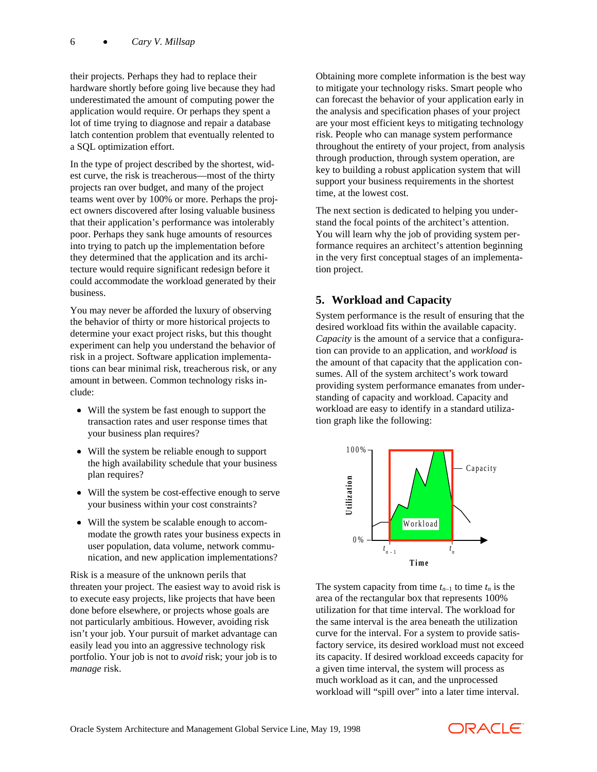their projects. Perhaps they had to replace their hardware shortly before going live because they had underestimated the amount of computing power the application would require. Or perhaps they spent a lot of time trying to diagnose and repair a database latch contention problem that eventually relented to a SQL optimization effort.

In the type of project described by the shortest, widest curve, the risk is treacherous—most of the thirty projects ran over budget, and many of the project teams went over by 100% or more. Perhaps the project owners discovered after losing valuable business that their application's performance was intolerably poor. Perhaps they sank huge amounts of resources into trying to patch up the implementation before they determined that the application and its architecture would require significant redesign before it could accommodate the workload generated by their business.

You may never be afforded the luxury of observing the behavior of thirty or more historical projects to determine your exact project risks, but this thought experiment can help you understand the behavior of risk in a project. Software application implementations can bear minimal risk, treacherous risk, or any amount in between. Common technology risks include:

- Will the system be fast enough to support the transaction rates and user response times that your business plan requires?
- Will the system be reliable enough to support the high availability schedule that your business plan requires?
- Will the system be cost-effective enough to serve your business within your cost constraints?
- Will the system be scalable enough to accommodate the growth rates your business expects in user population, data volume, network communication, and new application implementations?

Risk is a measure of the unknown perils that threaten your project. The easiest way to avoid risk is to execute easy projects, like projects that have been done before elsewhere, or projects whose goals are not particularly ambitious. However, avoiding risk isn't your job. Your pursuit of market advantage can easily lead you into an aggressive technology risk portfolio. Your job is not to *avoid* risk; your job is to *manage* risk.

Obtaining more complete information is the best way to mitigate your technology risks. Smart people who can forecast the behavior of your application early in the analysis and specification phases of your project are your most efficient keys to mitigating technology risk. People who can manage system performance throughout the entirety of your project, from analysis through production, through system operation, are key to building a robust application system that will support your business requirements in the shortest time, at the lowest cost.

The next section is dedicated to helping you understand the focal points of the architect's attention. You will learn why the job of providing system performance requires an architect's attention beginning in the very first conceptual stages of an implementation project.

### **5. Workload and Capacity**

System performance is the result of ensuring that the desired workload fits within the available capacity. *Capacity* is the amount of a service that a configuration can provide to an application, and *workload* is the amount of that capacity that the application consumes. All of the system architect's work toward providing system performance emanates from understanding of capacity and workload. Capacity and workload are easy to identify in a standard utilization graph like the following:



The system capacity from time  $t_{n-1}$  to time  $t_n$  is the area of the rectangular box that represents 100% utilization for that time interval. The workload for the same interval is the area beneath the utilization curve for the interval. For a system to provide satisfactory service, its desired workload must not exceed its capacity. If desired workload exceeds capacity for a given time interval, the system will process as much workload as it can, and the unprocessed workload will "spill over" into a later time interval.

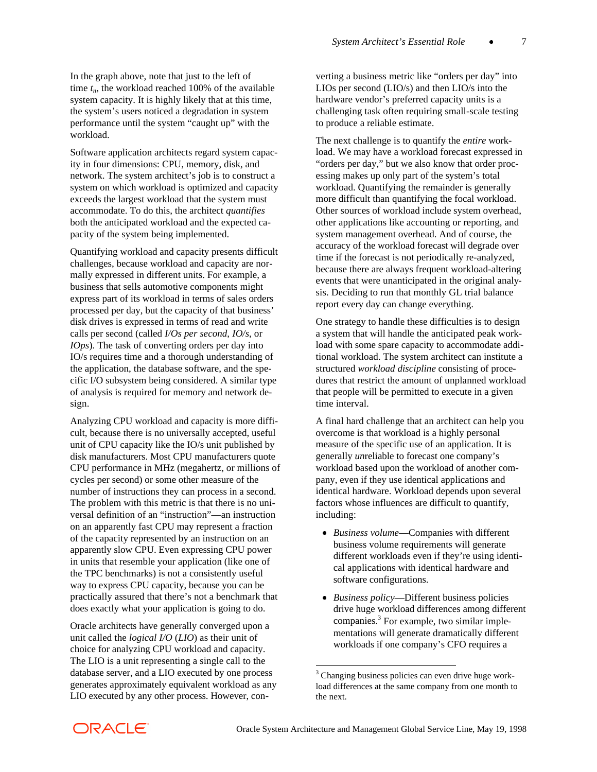In the graph above, note that just to the left of time  $t_n$ , the workload reached 100% of the available system capacity. It is highly likely that at this time, the system's users noticed a degradation in system performance until the system "caught up" with the workload.

Software application architects regard system capacity in four dimensions: CPU, memory, disk, and network. The system architect's job is to construct a system on which workload is optimized and capacity exceeds the largest workload that the system must accommodate. To do this, the architect *quantifies* both the anticipated workload and the expected capacity of the system being implemented.

Quantifying workload and capacity presents difficult challenges, because workload and capacity are normally expressed in different units. For example, a business that sells automotive components might express part of its workload in terms of sales orders processed per day, but the capacity of that business' disk drives is expressed in terms of read and write calls per second (called *I/Os per second*, *IO/s*, or *IOps*). The task of converting orders per day into IO/s requires time and a thorough understanding of the application, the database software, and the specific I/O subsystem being considered. A similar type of analysis is required for memory and network design.

Analyzing CPU workload and capacity is more difficult, because there is no universally accepted, useful unit of CPU capacity like the IO/s unit published by disk manufacturers. Most CPU manufacturers quote CPU performance in MHz (megahertz, or millions of cycles per second) or some other measure of the number of instructions they can process in a second. The problem with this metric is that there is no universal definition of an "instruction"—an instruction on an apparently fast CPU may represent a fraction of the capacity represented by an instruction on an apparently slow CPU. Even expressing CPU power in units that resemble your application (like one of the TPC benchmarks) is not a consistently useful way to express CPU capacity, because you can be practically assured that there's not a benchmark that does exactly what your application is going to do.

Oracle architects have generally converged upon a unit called the *logical I/O* (*LIO*) as their unit of choice for analyzing CPU workload and capacity. The LIO is a unit representing a single call to the database server, and a LIO executed by one process generates approximately equivalent workload as any LIO executed by any other process. However, converting a business metric like "orders per day" into LIOs per second (LIO/s) and then LIO/s into the hardware vendor's preferred capacity units is a challenging task often requiring small-scale testing to produce a reliable estimate.

The next challenge is to quantify the *entire* workload. We may have a workload forecast expressed in "orders per day," but we also know that order processing makes up only part of the system's total workload. Quantifying the remainder is generally more difficult than quantifying the focal workload. Other sources of workload include system overhead, other applications like accounting or reporting, and system management overhead. And of course, the accuracy of the workload forecast will degrade over time if the forecast is not periodically re-analyzed, because there are always frequent workload-altering events that were unanticipated in the original analysis. Deciding to run that monthly GL trial balance report every day can change everything.

One strategy to handle these difficulties is to design a system that will handle the anticipated peak workload with some spare capacity to accommodate additional workload. The system architect can institute a structured *workload discipline* consisting of procedures that restrict the amount of unplanned workload that people will be permitted to execute in a given time interval.

A final hard challenge that an architect can help you overcome is that workload is a highly personal measure of the specific use of an application. It is generally *un*reliable to forecast one company's workload based upon the workload of another company, even if they use identical applications and identical hardware. Workload depends upon several factors whose influences are difficult to quantify, including:

- x *Business volume*—Companies with different business volume requirements will generate different workloads even if they're using identical applications with identical hardware and software configurations.
- *Business policy*—Different business policies drive huge workload differences among different companies.<sup>3</sup> For example, two similar implementations will generate dramatically different workloads if one company's CFO requires a



 $\overline{a}$ 

<sup>&</sup>lt;sup>3</sup> Changing business policies can even drive huge workload differences at the same company from one month to the next.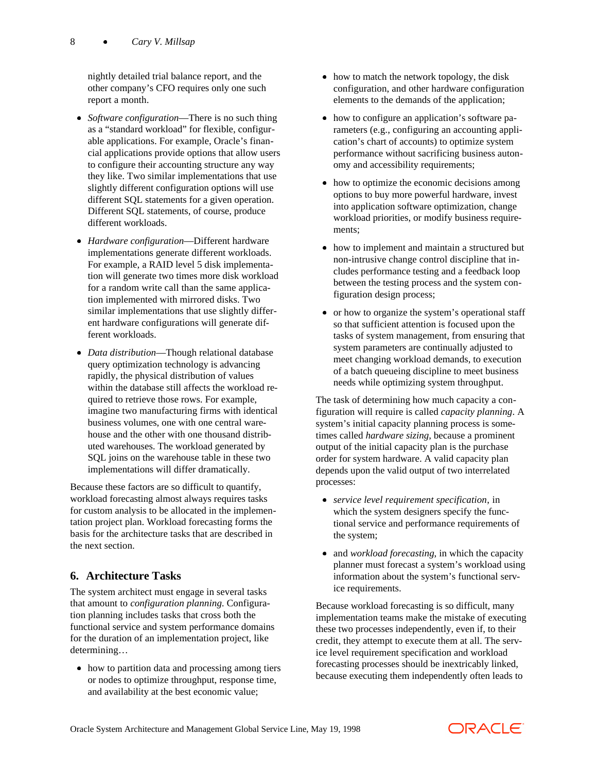nightly detailed trial balance report, and the other company's CFO requires only one such report a month.

- *Software configuration*—There is no such thing as a "standard workload" for flexible, configurable applications. For example, Oracle's financial applications provide options that allow users to configure their accounting structure any way they like. Two similar implementations that use slightly different configuration options will use different SQL statements for a given operation. Different SQL statements, of course, produce different workloads.
- *Hardware configuration*—Different hardware implementations generate different workloads. For example, a RAID level 5 disk implementation will generate two times more disk workload for a random write call than the same application implemented with mirrored disks. Two similar implementations that use slightly different hardware configurations will generate different workloads.
- *Data distribution*—Though relational database query optimization technology is advancing rapidly, the physical distribution of values within the database still affects the workload required to retrieve those rows. For example, imagine two manufacturing firms with identical business volumes, one with one central warehouse and the other with one thousand distributed warehouses. The workload generated by SQL joins on the warehouse table in these two implementations will differ dramatically.

Because these factors are so difficult to quantify, workload forecasting almost always requires tasks for custom analysis to be allocated in the implementation project plan. Workload forecasting forms the basis for the architecture tasks that are described in the next section.

## **6. Architecture Tasks**

The system architect must engage in several tasks that amount to *configuration planning*. Configuration planning includes tasks that cross both the functional service and system performance domains for the duration of an implementation project, like determining…

• how to partition data and processing among tiers or nodes to optimize throughput, response time, and availability at the best economic value;

- $\bullet$  how to match the network topology, the disk configuration, and other hardware configuration elements to the demands of the application;
- how to configure an application's software parameters (e.g., configuring an accounting application's chart of accounts) to optimize system performance without sacrificing business autonomy and accessibility requirements;
- how to optimize the economic decisions among options to buy more powerful hardware, invest into application software optimization, change workload priorities, or modify business requirements;
- how to implement and maintain a structured but non-intrusive change control discipline that includes performance testing and a feedback loop between the testing process and the system configuration design process;
- or how to organize the system's operational staff so that sufficient attention is focused upon the tasks of system management, from ensuring that system parameters are continually adjusted to meet changing workload demands, to execution of a batch queueing discipline to meet business needs while optimizing system throughput.

The task of determining how much capacity a configuration will require is called *capacity planning*. A system's initial capacity planning process is sometimes called *hardware sizing*, because a prominent output of the initial capacity plan is the purchase order for system hardware. A valid capacity plan depends upon the valid output of two interrelated processes:

- x *service level requirement specification*, in which the system designers specify the functional service and performance requirements of the system;
- and *workload forecasting*, in which the capacity planner must forecast a system's workload using information about the system's functional service requirements.

Because workload forecasting is so difficult, many implementation teams make the mistake of executing these two processes independently, even if, to their credit, they attempt to execute them at all. The service level requirement specification and workload forecasting processes should be inextricably linked, because executing them independently often leads to

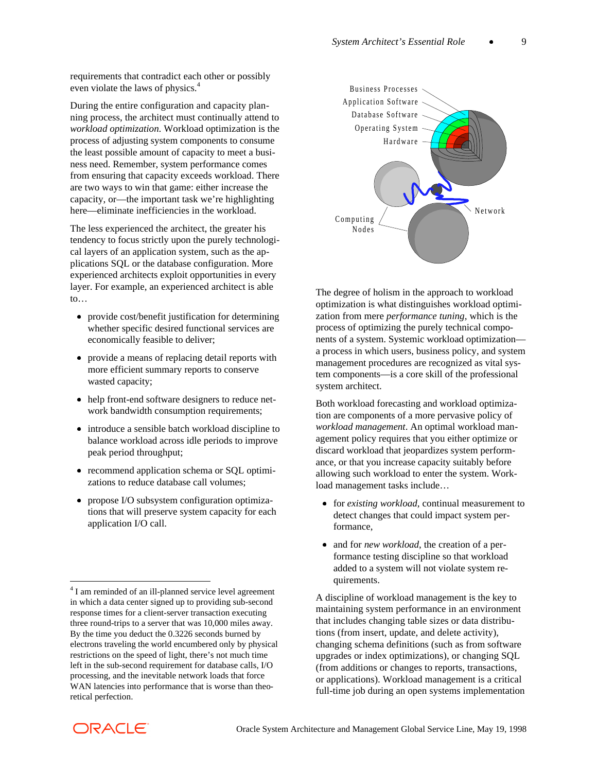requirements that contradict each other or possibly even violate the laws of physics.<sup>4</sup>

During the entire configuration and capacity planning process, the architect must continually attend to *workload optimization*. Workload optimization is the process of adjusting system components to consume the least possible amount of capacity to meet a business need. Remember, system performance comes from ensuring that capacity exceeds workload. There are two ways to win that game: either increase the capacity, or—the important task we're highlighting here—eliminate inefficiencies in the workload.

The less experienced the architect, the greater his tendency to focus strictly upon the purely technological layers of an application system, such as the applications SQL or the database configuration. More experienced architects exploit opportunities in every layer. For example, an experienced architect is able to…

- provide cost/benefit justification for determining whether specific desired functional services are economically feasible to deliver;
- provide a means of replacing detail reports with more efficient summary reports to conserve wasted capacity;
- help front-end software designers to reduce network bandwidth consumption requirements;
- introduce a sensible batch workload discipline to balance workload across idle periods to improve peak period throughput;
- recommend application schema or SQL optimizations to reduce database call volumes;
- propose I/O subsystem configuration optimizations that will preserve system capacity for each application I/O call.



The degree of holism in the approach to workload optimization is what distinguishes workload optimization from mere *performance tuning*, which is the process of optimizing the purely technical components of a system. Systemic workload optimization a process in which users, business policy, and system management procedures are recognized as vital system components—is a core skill of the professional system architect.

Both workload forecasting and workload optimization are components of a more pervasive policy of *workload management*. An optimal workload management policy requires that you either optimize or discard workload that jeopardizes system performance, or that you increase capacity suitably before allowing such workload to enter the system. Workload management tasks include…

- for *existing workload*, continual measurement to detect changes that could impact system performance,
- and for *new workload*, the creation of a performance testing discipline so that workload added to a system will not violate system requirements.

A discipline of workload management is the key to maintaining system performance in an environment that includes changing table sizes or data distributions (from insert, update, and delete activity), changing schema definitions (such as from software upgrades or index optimizations), or changing SQL (from additions or changes to reports, transactions, or applications). Workload management is a critical full-time job during an open systems implementation



 $\overline{\phantom{a}}$ 

<sup>&</sup>lt;sup>4</sup> I am reminded of an ill-planned service level agreement in which a data center signed up to providing sub-second response times for a client-server transaction executing three round-trips to a server that was 10,000 miles away. By the time you deduct the 0.3226 seconds burned by electrons traveling the world encumbered only by physical restrictions on the speed of light, there's not much time left in the sub-second requirement for database calls, I/O processing, and the inevitable network loads that force WAN latencies into performance that is worse than theoretical perfection.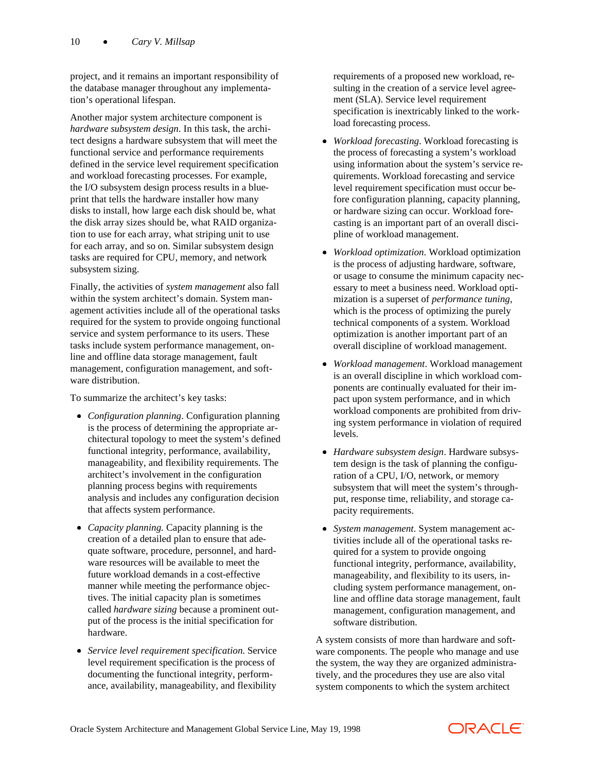project, and it remains an important responsibility of the database manager throughout any implementation's operational lifespan.

Another major system architecture component is *hardware subsystem design*. In this task, the architect designs a hardware subsystem that will meet the functional service and performance requirements defined in the service level requirement specification and workload forecasting processes. For example, the I/O subsystem design process results in a blueprint that tells the hardware installer how many disks to install, how large each disk should be, what the disk array sizes should be, what RAID organization to use for each array, what striping unit to use for each array, and so on. Similar subsystem design tasks are required for CPU, memory, and network subsystem sizing.

Finally, the activities of *system management* also fall within the system architect's domain. System management activities include all of the operational tasks required for the system to provide ongoing functional service and system performance to its users. These tasks include system performance management, online and offline data storage management, fault management, configuration management, and software distribution.

To summarize the architect's key tasks:

- *Configuration planning*. Configuration planning is the process of determining the appropriate architectural topology to meet the system's defined functional integrity, performance, availability, manageability, and flexibility requirements. The architect's involvement in the configuration planning process begins with requirements analysis and includes any configuration decision that affects system performance.
- *Capacity planning.* Capacity planning is the creation of a detailed plan to ensure that adequate software, procedure, personnel, and hardware resources will be available to meet the future workload demands in a cost-effective manner while meeting the performance objectives. The initial capacity plan is sometimes called *hardware sizing* because a prominent output of the process is the initial specification for hardware.
- x *Service level requirement specification*. Service level requirement specification is the process of documenting the functional integrity, performance, availability, manageability, and flexibility

requirements of a proposed new workload, resulting in the creation of a service level agreement (SLA). Service level requirement specification is inextricably linked to the workload forecasting process.

- *Workload forecasting*. Workload forecasting is the process of forecasting a system's workload using information about the system's service requirements. Workload forecasting and service level requirement specification must occur before configuration planning, capacity planning, or hardware sizing can occur. Workload forecasting is an important part of an overall discipline of workload management.
- x *Workload optimization*. Workload optimization is the process of adjusting hardware, software, or usage to consume the minimum capacity necessary to meet a business need. Workload optimization is a superset of *performance tuning*, which is the process of optimizing the purely technical components of a system. Workload optimization is another important part of an overall discipline of workload management.
- x *Workload management*. Workload management is an overall discipline in which workload components are continually evaluated for their impact upon system performance, and in which workload components are prohibited from driving system performance in violation of required levels.
- *Hardware subsystem design*. Hardware subsystem design is the task of planning the configuration of a CPU, I/O, network, or memory subsystem that will meet the system's throughput, response time, reliability, and storage capacity requirements.
- x *System management*. System management activities include all of the operational tasks required for a system to provide ongoing functional integrity, performance, availability, manageability, and flexibility to its users, including system performance management, online and offline data storage management, fault management, configuration management, and software distribution.

A system consists of more than hardware and software components. The people who manage and use the system, the way they are organized administratively, and the procedures they use are also vital system components to which the system architect

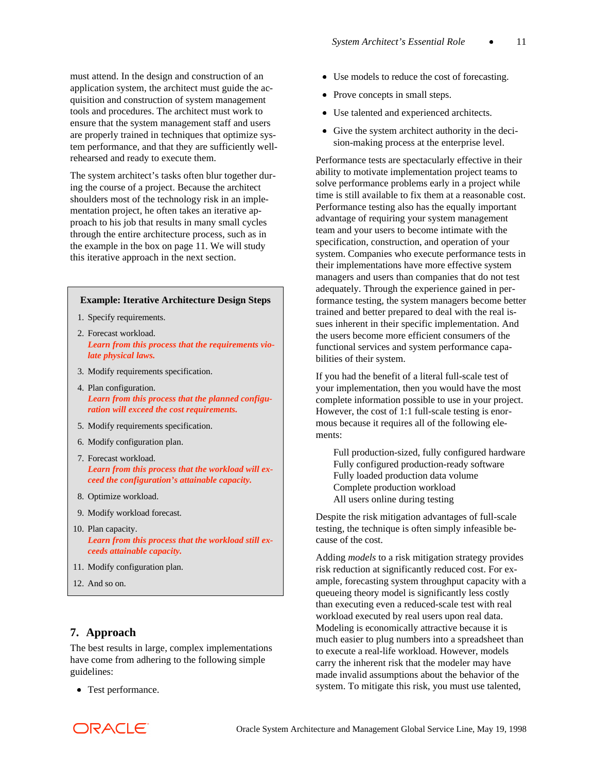must attend. In the design and construction of an application system, the architect must guide the acquisition and construction of system management tools and procedures. The architect must work to ensure that the system management staff and users are properly trained in techniques that optimize system performance, and that they are sufficiently wellrehearsed and ready to execute them.

The system architect's tasks often blur together during the course of a project. Because the architect shoulders most of the technology risk in an implementation project, he often takes an iterative approach to his job that results in many small cycles through the entire architecture process, such as in the example in the box on page 11. We will study this iterative approach in the next section.

#### **Example: Iterative Architecture Design Steps**

- 1. Specify requirements.
- 2. Forecast workload. *Learn from this process that the requirements violate physical laws.*
- 3. Modify requirements specification.
- 4. Plan configuration. *Learn from this process that the planned configuration will exceed the cost requirements.*
- 5. Modify requirements specification.
- 6. Modify configuration plan.
- 7. Forecast workload. *Learn from this process that the workload will exceed the configuration's attainable capacity.*
- 8. Optimize workload.
- 9. Modify workload forecast.
- 10. Plan capacity. *Learn from this process that the workload still exceeds attainable capacity.*
- 11. Modify configuration plan.
- 12. And so on.

#### **7. Approach**

The best results in large, complex implementations have come from adhering to the following simple guidelines:

• Test performance.

- Use models to reduce the cost of forecasting.
- Prove concepts in small steps.
- Use talented and experienced architects.
- Give the system architect authority in the decision-making process at the enterprise level.

Performance tests are spectacularly effective in their ability to motivate implementation project teams to solve performance problems early in a project while time is still available to fix them at a reasonable cost. Performance testing also has the equally important advantage of requiring your system management team and your users to become intimate with the specification, construction, and operation of your system. Companies who execute performance tests in their implementations have more effective system managers and users than companies that do not test adequately. Through the experience gained in performance testing, the system managers become better trained and better prepared to deal with the real issues inherent in their specific implementation. And the users become more efficient consumers of the functional services and system performance capabilities of their system.

If you had the benefit of a literal full-scale test of your implementation, then you would have the most complete information possible to use in your project. However, the cost of 1:1 full-scale testing is enormous because it requires all of the following elements:

Full production-sized, fully configured hardware Fully configured production-ready software Fully loaded production data volume Complete production workload All users online during testing

Despite the risk mitigation advantages of full-scale testing, the technique is often simply infeasible because of the cost.

Adding *models* to a risk mitigation strategy provides risk reduction at significantly reduced cost. For example, forecasting system throughput capacity with a queueing theory model is significantly less costly than executing even a reduced-scale test with real workload executed by real users upon real data. Modeling is economically attractive because it is much easier to plug numbers into a spreadsheet than to execute a real-life workload. However, models carry the inherent risk that the modeler may have made invalid assumptions about the behavior of the system. To mitigate this risk, you must use talented,

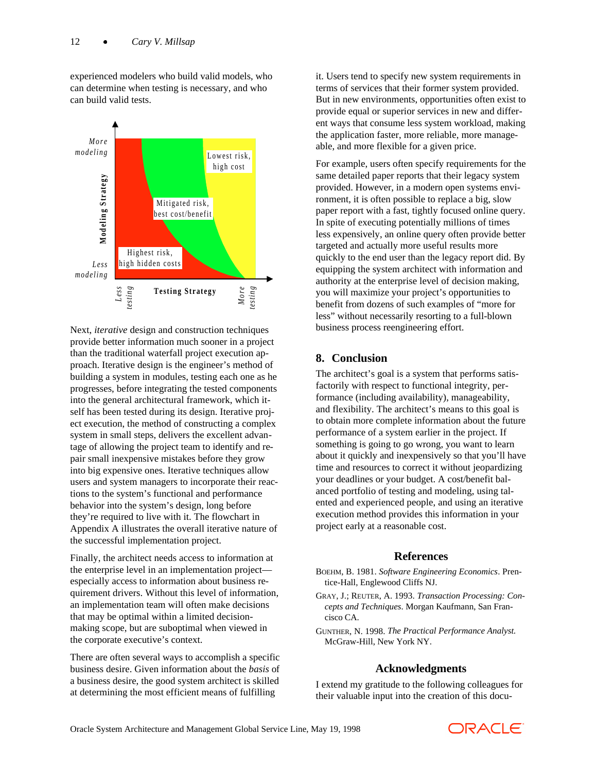experienced modelers who build valid models, who can determine when testing is necessary, and who can build valid tests.



Next, *iterative* design and construction techniques provide better information much sooner in a project than the traditional waterfall project execution approach. Iterative design is the engineer's method of building a system in modules, testing each one as he progresses, before integrating the tested components into the general architectural framework, which itself has been tested during its design. Iterative project execution, the method of constructing a complex system in small steps, delivers the excellent advantage of allowing the project team to identify and repair small inexpensive mistakes before they grow into big expensive ones. Iterative techniques allow users and system managers to incorporate their reactions to the system's functional and performance behavior into the system's design, long before they're required to live with it. The flowchart in Appendix A illustrates the overall iterative nature of the successful implementation project.

Finally, the architect needs access to information at the enterprise level in an implementation project especially access to information about business requirement drivers. Without this level of information, an implementation team will often make decisions that may be optimal within a limited decisionmaking scope, but are suboptimal when viewed in the corporate executive's context.

There are often several ways to accomplish a specific business desire. Given information about the *basis* of a business desire, the good system architect is skilled at determining the most efficient means of fulfilling

it. Users tend to specify new system requirements in terms of services that their former system provided. But in new environments, opportunities often exist to provide equal or superior services in new and different ways that consume less system workload, making the application faster, more reliable, more manageable, and more flexible for a given price.

For example, users often specify requirements for the same detailed paper reports that their legacy system provided. However, in a modern open systems environment, it is often possible to replace a big, slow paper report with a fast, tightly focused online query. In spite of executing potentially millions of times less expensively, an online query often provide better targeted and actually more useful results more quickly to the end user than the legacy report did. By equipping the system architect with information and authority at the enterprise level of decision making, you will maximize your project's opportunities to benefit from dozens of such examples of "more for less" without necessarily resorting to a full-blown business process reengineering effort.

#### **8. Conclusion**

The architect's goal is a system that performs satisfactorily with respect to functional integrity, performance (including availability), manageability, and flexibility. The architect's means to this goal is to obtain more complete information about the future performance of a system earlier in the project. If something is going to go wrong, you want to learn about it quickly and inexpensively so that you'll have time and resources to correct it without jeopardizing your deadlines or your budget. A cost/benefit balanced portfolio of testing and modeling, using talented and experienced people, and using an iterative execution method provides this information in your project early at a reasonable cost.

#### **References**

- BOEHM, B. 1981. *Software Engineering Economics*. Prentice-Hall, Englewood Cliffs NJ.
- GRAY, J.; REUTER, A. 1993. *Transaction Processing: Concepts and Techniques*. Morgan Kaufmann, San Francisco CA.
- GUNTHER, N. 1998. *The Practical Performance Analyst.* McGraw-Hill, New York NY.

#### **Acknowledgments**

I extend my gratitude to the following colleagues for their valuable input into the creation of this docu-

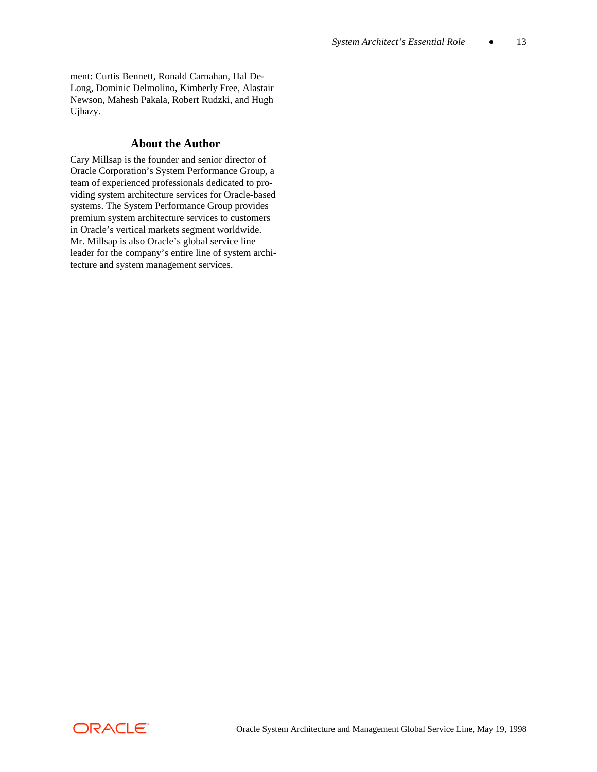ment: Curtis Bennett, Ronald Carnahan, Hal De-Long, Dominic Delmolino, Kimberly Free, Alastair Newson, Mahesh Pakala, Robert Rudzki, and Hugh Ujhazy.

### **About the Author**

Cary Millsap is the founder and senior director of Oracle Corporation's System Performance Group, a team of experienced professionals dedicated to providing system architecture services for Oracle-based systems. The System Performance Group provides premium system architecture services to customers in Oracle's vertical markets segment worldwide. Mr. Millsap is also Oracle's global service line leader for the company's entire line of system architecture and system management services.